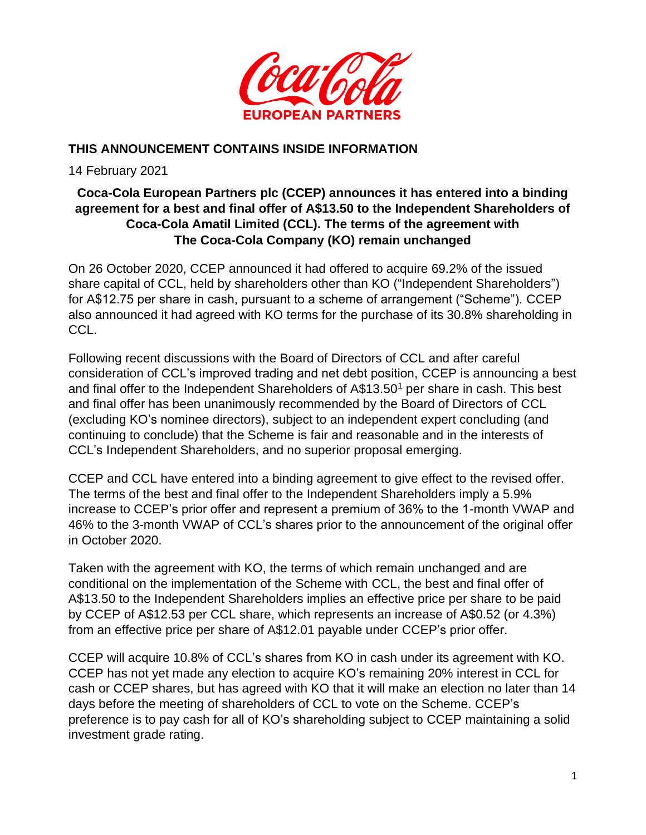

## **THIS ANNOUNCEMENT CONTAINS INSIDE INFORMATION**

14 February 2021

# **Coca-Cola European Partners plc (CCEP) announces it has entered into a binding agreement for a best and final offer of A\$13.50 to the Independent Shareholders of Coca-Cola Amatil Limited (CCL). The terms of the agreement with The Coca-Cola Company (KO) remain unchanged**

On 26 October 2020, CCEP announced it had offered to acquire 69.2% of the issued share capital of CCL, held by shareholders other than KO ("Independent Shareholders") for A\$12.75 per share in cash, pursuant to a scheme of arrangement ("Scheme"). CCEP also announced it had agreed with KO terms for the purchase of its 30.8% shareholding in CCL.

Following recent discussions with the Board of Directors of CCL and after careful consideration of CCL's improved trading and net debt position, CCEP is announcing a best and final offer to the Independent Shareholders of A\$13.50<sup>1</sup> per share in cash. This best and final offer has been unanimously recommended by the Board of Directors of CCL (excluding KO's nominee directors), subject to an independent expert concluding (and continuing to conclude) that the Scheme is fair and reasonable and in the interests of CCL's Independent Shareholders, and no superior proposal emerging.

CCEP and CCL have entered into a binding agreement to give effect to the revised offer. The terms of the best and final offer to the Independent Shareholders imply a 5.9% increase to CCEP's prior offer and represent a premium of 36% to the 1-month VWAP and 46% to the 3-month VWAP of CCL's shares prior to the announcement of the original offer in October 2020.

Taken with the agreement with KO, the terms of which remain unchanged and are conditional on the implementation of the Scheme with CCL, the best and final offer of A\$13.50 to the Independent Shareholders implies an effective price per share to be paid by CCEP of A\$12.53 per CCL share, which represents an increase of A\$0.52 (or 4.3%) from an effective price per share of A\$12.01 payable under CCEP's prior offer.

CCEP will acquire 10.8% of CCL's shares from KO in cash under its agreement with KO. CCEP has not yet made any election to acquire KO's remaining 20% interest in CCL for cash or CCEP shares, but has agreed with KO that it will make an election no later than 14 days before the meeting of shareholders of CCL to vote on the Scheme. CCEP's preference is to pay cash for all of KO's shareholding subject to CCEP maintaining a solid investment grade rating.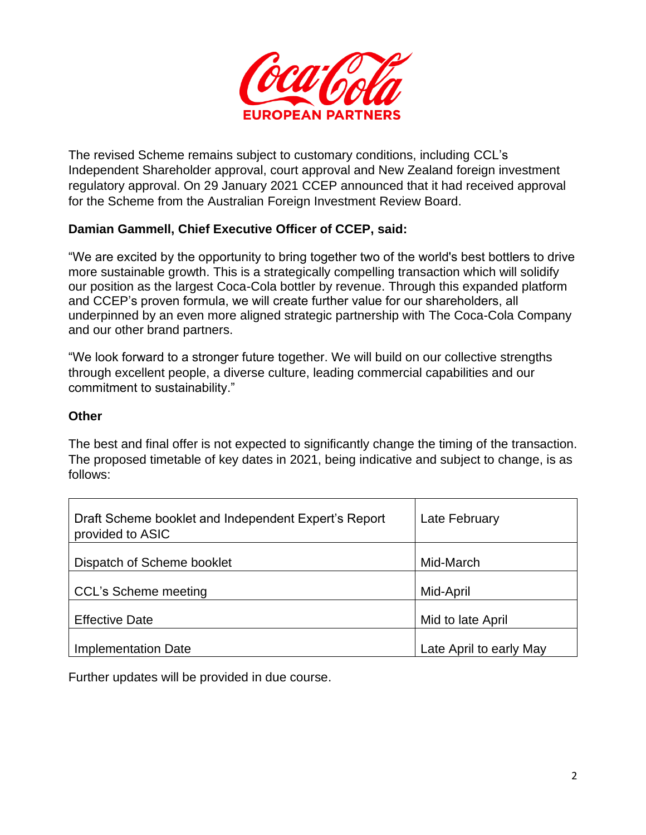

The revised Scheme remains subject to customary conditions, including CCL's Independent Shareholder approval, court approval and New Zealand foreign investment regulatory approval. On 29 January 2021 CCEP announced that it had received approval for the Scheme from the Australian Foreign Investment Review Board.

## **Damian Gammell, Chief Executive Officer of CCEP, said:**

"We are excited by the opportunity to bring together two of the world's best bottlers to drive more sustainable growth. This is a strategically compelling transaction which will solidify our position as the largest Coca-Cola bottler by revenue. Through this expanded platform and CCEP's proven formula, we will create further value for our shareholders, all underpinned by an even more aligned strategic partnership with The Coca-Cola Company and our other brand partners.

"We look forward to a stronger future together. We will build on our collective strengths through excellent people, a diverse culture, leading commercial capabilities and our commitment to sustainability."

#### **Other**

The best and final offer is not expected to significantly change the timing of the transaction. The proposed timetable of key dates in 2021, being indicative and subject to change, is as follows:

| Draft Scheme booklet and Independent Expert's Report<br>provided to ASIC | Late February           |
|--------------------------------------------------------------------------|-------------------------|
| Dispatch of Scheme booklet                                               | Mid-March               |
| <b>CCL's Scheme meeting</b>                                              | Mid-April               |
| <b>Effective Date</b>                                                    | Mid to late April       |
| <b>Implementation Date</b>                                               | Late April to early May |

Further updates will be provided in due course.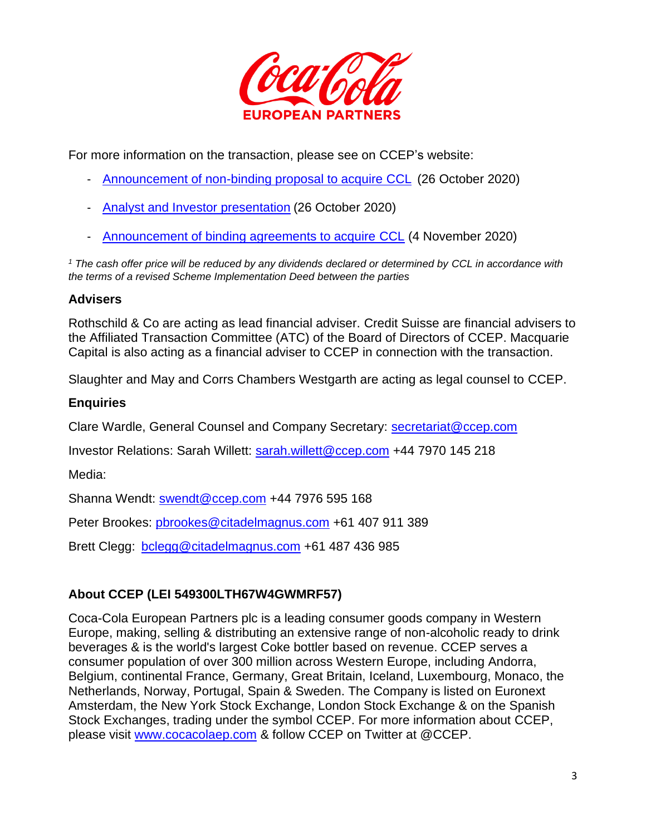

For more information on the transaction, please see on CCEP's website:

- [Announcement of non-binding proposal to acquire CCL](https://ir.cocacolaep.com/regulatory-filings-and-news/investor-news/investor-news-details/2020/Coca-Cola-Euro-Ptnrs---Proposed-acquisition-of-Coca-Cola-Amatil/default.aspx) (26 October 2020)
- [Analyst and Investor presentation](https://s24.q4cdn.com/897379916/files/doc_presentations/2020/11/CCEP.-Proposed-acquisition-of-Coca-Cola-Amatil-Q3-Update.pdf) (26 October 2020)
- [Announcement of binding agreements to acquire CCL](https://ir.cocacolaep.com/regulatory-filings-and-news/investor-news/investor-news-details/2020/Coca-Cola-Euro-Ptnrs---Update-re-Coca-Cola-Amatil-acquisition/default.aspx) (4 November 2020)

*<sup>1</sup> The cash offer price will be reduced by any dividends declared or determined by CCL in accordance with the terms of a revised Scheme Implementation Deed between the parties* 

#### **Advisers**

Rothschild & Co are acting as lead financial adviser. Credit Suisse are financial advisers to the Affiliated Transaction Committee (ATC) of the Board of Directors of CCEP. Macquarie Capital is also acting as a financial adviser to CCEP in connection with the transaction.

Slaughter and May and Corrs Chambers Westgarth are acting as legal counsel to CCEP.

### **Enquiries**

Clare Wardle, General Counsel and Company Secretary: [secretariat@ccep.com](mailto:secretariat@ccep.com)

Investor Relations: Sarah Willett: [sarah.willett@ccep.com](mailto:sarah.willett@ccep.com) +44 7970 145 218

Media:

Shanna Wendt: [swendt@ccep.com](mailto:swendt@ccep.com) +44 7976 595 168

Peter Brookes: [pbrookes@citadelmagnus.com](mailto:pbrookes@citadelmagnus.com) +61 407 911 389

Brett Clegg: [bclegg@citadelmagnus.com](mailto:bclegg@citadelmagnus.com) +61 487 436 985

## **About CCEP (LEI 549300LTH67W4GWMRF57)**

Coca-Cola European Partners plc is a leading consumer goods company in Western Europe, making, selling & distributing an extensive range of non-alcoholic ready to drink beverages & is the world's largest Coke bottler based on revenue. CCEP serves a consumer population of over 300 million across Western Europe, including Andorra, Belgium, continental France, Germany, Great Britain, Iceland, Luxembourg, Monaco, the Netherlands, Norway, Portugal, Spain & Sweden. The Company is listed on Euronext Amsterdam, the New York Stock Exchange, London Stock Exchange & on the Spanish Stock Exchanges, trading under the symbol CCEP. For more information about CCEP, please visit [www.cocacolaep.com](http://www.cocacolaep.com/) & follow CCEP on Twitter at @CCEP.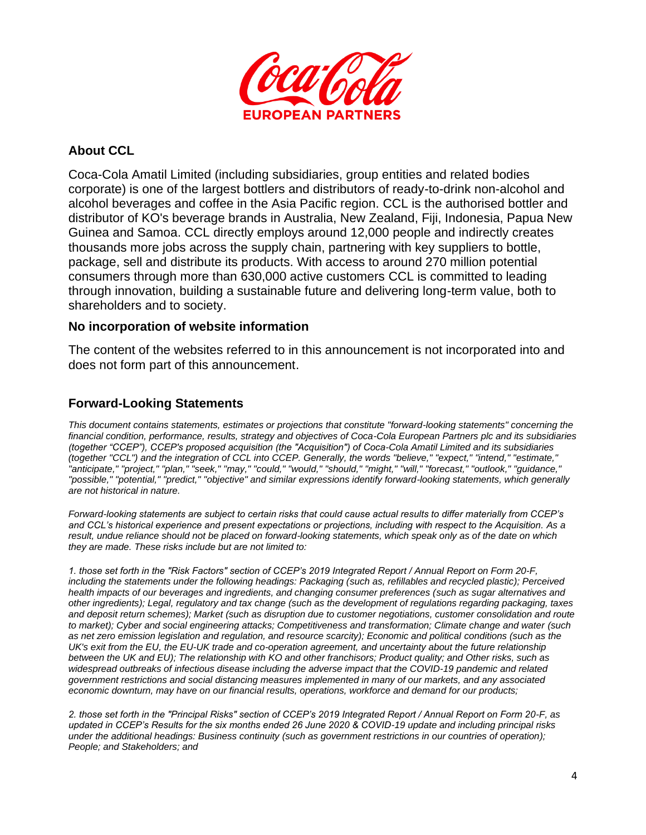

### **About CCL**

Coca-Cola Amatil Limited (including subsidiaries, group entities and related bodies corporate) is one of the largest bottlers and distributors of ready-to-drink non-alcohol and alcohol beverages and coffee in the Asia Pacific region. CCL is the authorised bottler and distributor of KO's beverage brands in Australia, New Zealand, Fiji, Indonesia, Papua New Guinea and Samoa. CCL directly employs around 12,000 people and indirectly creates thousands more jobs across the supply chain, partnering with key suppliers to bottle, package, sell and distribute its products. With access to around 270 million potential consumers through more than 630,000 active customers CCL is committed to leading through innovation, building a sustainable future and delivering long-term value, both to shareholders and to society.

#### **No incorporation of website information**

The content of the websites referred to in this announcement is not incorporated into and does not form part of this announcement.

### **Forward-Looking Statements**

*This document contains statements, estimates or projections that constitute "forward-looking statements" concerning the financial condition, performance, results, strategy and objectives of Coca-Cola European Partners plc and its subsidiaries (together "CCEP"), CCEP's proposed acquisition (the "Acquisition") of Coca-Cola Amatil Limited and its subsidiaries (together "CCL") and the integration of CCL into CCEP. Generally, the words "believe," "expect," "intend," "estimate," "anticipate," "project," "plan," "seek," "may," "could," "would," "should," "might," "will," "forecast," "outlook," "guidance," "possible," "potential," "predict," "objective" and similar expressions identify forward-looking statements, which generally are not historical in nature.*

*Forward-looking statements are subject to certain risks that could cause actual results to differ materially from CCEP's and CCL's historical experience and present expectations or projections, including with respect to the Acquisition. As a result, undue reliance should not be placed on forward-looking statements, which speak only as of the date on which they are made. These risks include but are not limited to:*

*1. those set forth in the "Risk Factors" section of CCEP's 2019 Integrated Report / Annual Report on Form 20-F, including the statements under the following headings: Packaging (such as, refillables and recycled plastic); Perceived health impacts of our beverages and ingredients, and changing consumer preferences (such as sugar alternatives and other ingredients); Legal, regulatory and tax change (such as the development of regulations regarding packaging, taxes and deposit return schemes); Market (such as disruption due to customer negotiations, customer consolidation and route to market); Cyber and social engineering attacks; Competitiveness and transformation; Climate change and water (such as net zero emission legislation and regulation, and resource scarcity); Economic and political conditions (such as the UK's exit from the EU, the EU-UK trade and co-operation agreement, and uncertainty about the future relationship between the UK and EU); The relationship with KO and other franchisors; Product quality; and Other risks, such as widespread outbreaks of infectious disease including the adverse impact that the COVID-19 pandemic and related government restrictions and social distancing measures implemented in many of our markets, and any associated economic downturn, may have on our financial results, operations, workforce and demand for our products;*

*2. those set forth in the "Principal Risks" section of CCEP's 2019 Integrated Report / Annual Report on Form 20-F, as updated in CCEP's Results for the six months ended 26 June 2020 & COVID-19 update and including principal risks under the additional headings: Business continuity (such as government restrictions in our countries of operation); People; and Stakeholders; and*